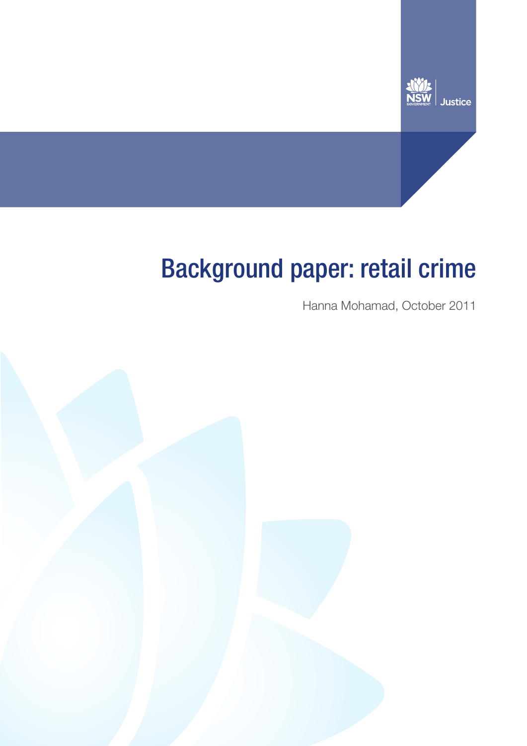

# Background paper: retail crime

Hanna Mohamad, October 2011

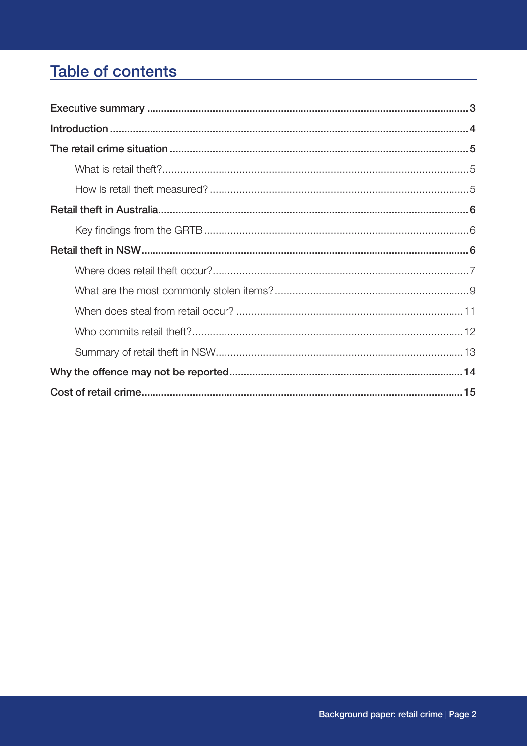# **Table of contents**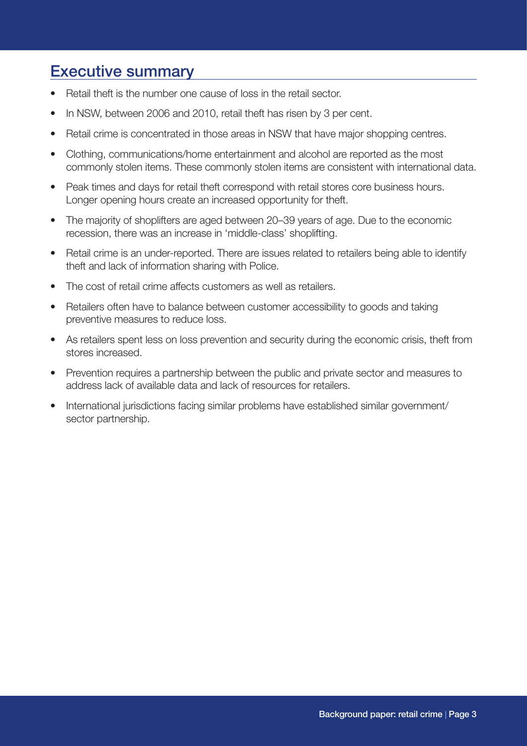### Executive summary

- Retail theft is the number one cause of loss in the retail sector.
- In NSW, between 2006 and 2010, retail theft has risen by 3 per cent.
- Retail crime is concentrated in those areas in NSW that have major shopping centres.
- Clothing, communications/home entertainment and alcohol are reported as the most commonly stolen items. These commonly stolen items are consistent with international data.
- Peak times and days for retail theft correspond with retail stores core business hours. Longer opening hours create an increased opportunity for theft.
- The majority of shoplifters are aged between 20–39 years of age. Due to the economic recession, there was an increase in 'middle-class' shoplifting.
- Retail crime is an under-reported. There are issues related to retailers being able to identify theft and lack of information sharing with Police.
- The cost of retail crime affects customers as well as retailers.
- Retailers often have to balance between customer accessibility to goods and taking preventive measures to reduce loss.
- As retailers spent less on loss prevention and security during the economic crisis, theft from stores increased.
- Prevention requires a partnership between the public and private sector and measures to address lack of available data and lack of resources for retailers.
- International jurisdictions facing similar problems have established similar government/ sector partnership.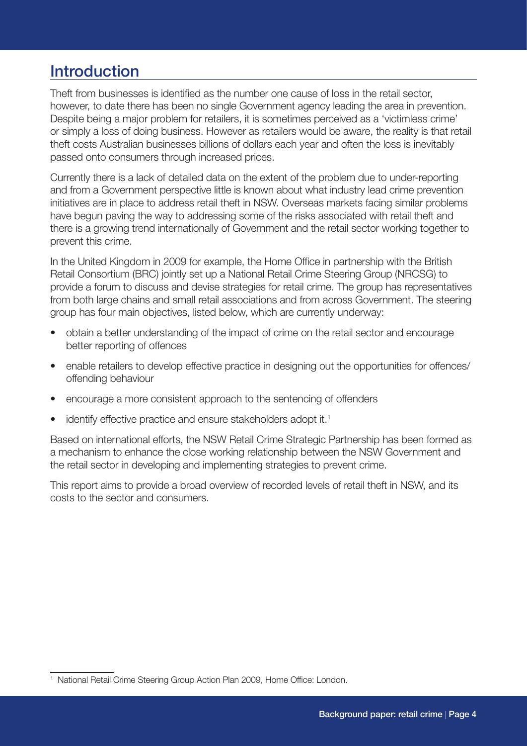### **Introduction**

Theft from businesses is identified as the number one cause of loss in the retail sector, however, to date there has been no single Government agency leading the area in prevention. Despite being a major problem for retailers, it is sometimes perceived as a 'victimless crime' or simply a loss of doing business. However as retailers would be aware, the reality is that retail theft costs Australian businesses billions of dollars each year and often the loss is inevitably passed onto consumers through increased prices.

Currently there is a lack of detailed data on the extent of the problem due to under-reporting and from a Government perspective little is known about what industry lead crime prevention initiatives are in place to address retail theft in NSW. Overseas markets facing similar problems have begun paving the way to addressing some of the risks associated with retail theft and there is a growing trend internationally of Government and the retail sector working together to prevent this crime.

In the United Kingdom in 2009 for example, the Home Office in partnership with the British Retail Consortium (BRC) jointly set up a National Retail Crime Steering Group (NRCSG) to provide a forum to discuss and devise strategies for retail crime. The group has representatives from both large chains and small retail associations and from across Government. The steering group has four main objectives, listed below, which are currently underway:

- obtain a better understanding of the impact of crime on the retail sector and encourage better reporting of offences
- enable retailers to develop effective practice in designing out the opportunities for offences/ offending behaviour
- encourage a more consistent approach to the sentencing of offenders
- identify effective practice and ensure stakeholders adopt it.<sup>1</sup>

Based on international efforts, the NSW Retail Crime Strategic Partnership has been formed as a mechanism to enhance the close working relationship between the NSW Government and the retail sector in developing and implementing strategies to prevent crime.

This report aims to provide a broad overview of recorded levels of retail theft in NSW, and its costs to the sector and consumers.

<sup>&</sup>lt;sup>1</sup> National Retail Crime Steering Group Action Plan 2009, Home Office: London.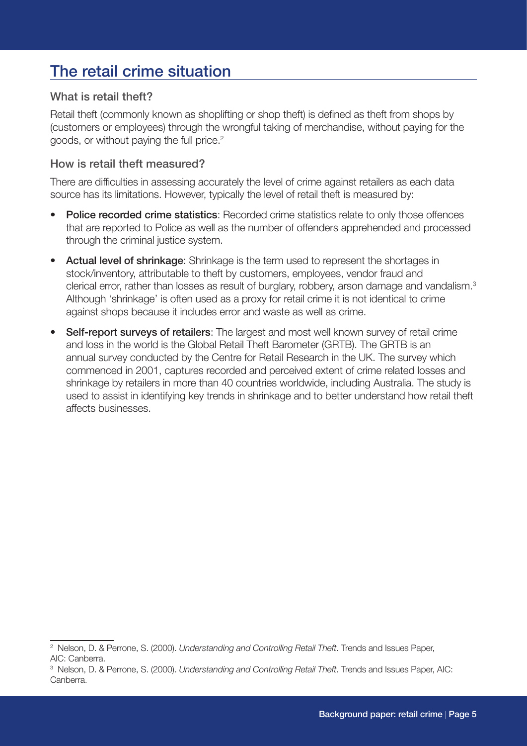# The retail crime situation

#### What is retail theft?

Retail theft (commonly known as shoplifting or shop theft) is defined as theft from shops by (customers or employees) through the wrongful taking of merchandise, without paying for the goods, or without paying the full price.<sup>2</sup>

#### How is retail theft measured?

There are difficulties in assessing accurately the level of crime against retailers as each data source has its limitations. However, typically the level of retail theft is measured by:

- Police recorded crime statistics: Recorded crime statistics relate to only those offences that are reported to Police as well as the number of offenders apprehended and processed through the criminal justice system.
- Actual level of shrinkage: Shrinkage is the term used to represent the shortages in stock/inventory, attributable to theft by customers, employees, vendor fraud and clerical error, rather than losses as result of burglary, robbery, arson damage and vandalism.<sup>3</sup> Although 'shrinkage' is often used as a proxy for retail crime it is not identical to crime against shops because it includes error and waste as well as crime.
- Self-report surveys of retailers: The largest and most well known survey of retail crime and loss in the world is the Global Retail Theft Barometer (GRTB). The GRTB is an annual survey conducted by the Centre for Retail Research in the UK. The survey which commenced in 2001, captures recorded and perceived extent of crime related losses and shrinkage by retailers in more than 40 countries worldwide, including Australia. The study is used to assist in identifying key trends in shrinkage and to better understand how retail theft affects businesses.

<sup>2</sup> Nelson, D. & Perrone, S. (2000). *Understanding and Controlling Retail Theft*. Trends and Issues Paper, AIC: Canberra.

<sup>3</sup> Nelson, D. & Perrone, S. (2000). *Understanding and Controlling Retail Theft*. Trends and Issues Paper, AIC: Canberra.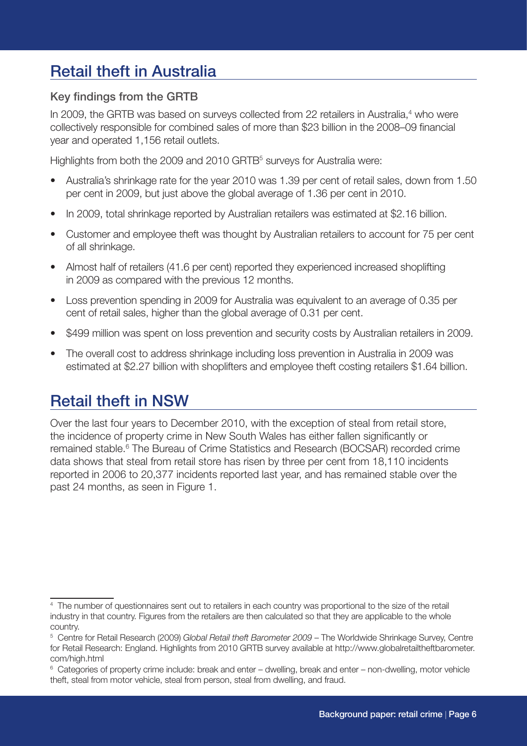# Retail theft in Australia

#### Key findings from the GRTB

In 2009, the GRTB was based on surveys collected from 22 retailers in Australia,<sup>4</sup> who were collectively responsible for combined sales of more than \$23 billion in the 2008–09 financial year and operated 1,156 retail outlets.

Highlights from both the 2009 and 2010 GRTB<sup>5</sup> surveys for Australia were:

- Australia's shrinkage rate for the year 2010 was 1.39 per cent of retail sales, down from 1.50 per cent in 2009, but just above the global average of 1.36 per cent in 2010.
- In 2009, total shrinkage reported by Australian retailers was estimated at \$2.16 billion.
- Customer and employee theft was thought by Australian retailers to account for 75 per cent of all shrinkage.
- Almost half of retailers (41.6 per cent) reported they experienced increased shoplifting in 2009 as compared with the previous 12 months.
- Loss prevention spending in 2009 for Australia was equivalent to an average of 0.35 per cent of retail sales, higher than the global average of 0.31 per cent.
- \$499 million was spent on loss prevention and security costs by Australian retailers in 2009.
- The overall cost to address shrinkage including loss prevention in Australia in 2009 was estimated at \$2.27 billion with shoplifters and employee theft costing retailers \$1.64 billion.

# Retail theft in NSW

Over the last four years to December 2010, with the exception of steal from retail store, the incidence of property crime in New South Wales has either fallen significantly or remained stable.<sup>6</sup> The Bureau of Crime Statistics and Research (BOCSAR) recorded crime data shows that steal from retail store has risen by three per cent from 18,110 incidents reported in 2006 to 20,377 incidents reported last year, and has remained stable over the past 24 months, as seen in Figure 1.

<sup>4</sup> The number of questionnaires sent out to retailers in each country was proportional to the size of the retail industry in that country. Figures from the retailers are then calculated so that they are applicable to the whole country.

<sup>5</sup> Centre for Retail Research (2009) *Global Retail theft Barometer 2009* – The Worldwide Shrinkage Survey, Centre for Retail Research: England. Highlights from 2010 GRTB survey available at http://www.globalretailtheftbarometer. com/high.html

<sup>6</sup> Categories of property crime include: break and enter – dwelling, break and enter – non-dwelling, motor vehicle theft, steal from motor vehicle, steal from person, steal from dwelling, and fraud.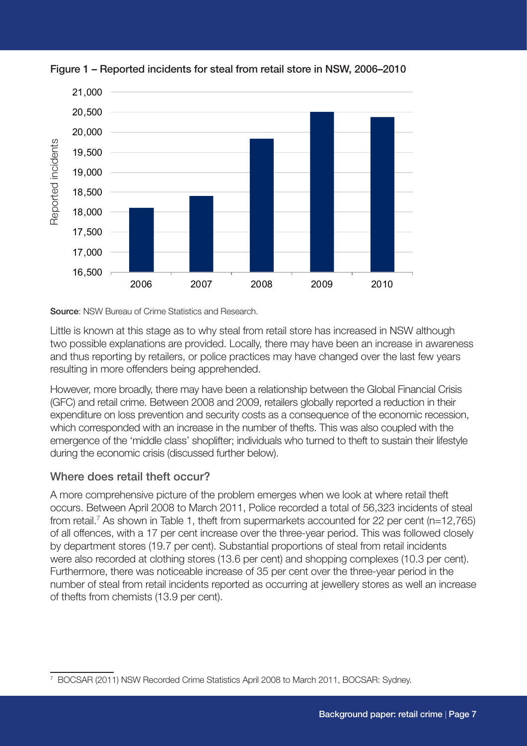

Figure 1 – Reported incidents for steal from retail store in NSW, 2006–2010

Source: NSW Bureau of Crime Statistics and Research.

Little is known at this stage as to why steal from retail store has increased in NSW although two possible explanations are provided. Locally, there may have been an increase in awareness and thus reporting by retailers, or police practices may have changed over the last few years resulting in more offenders being apprehended.

However, more broadly, there may have been a relationship between the Global Financial Crisis (GFC) and retail crime. Between 2008 and 2009, retailers globally reported a reduction in their expenditure on loss prevention and security costs as a consequence of the economic recession, which corresponded with an increase in the number of thefts. This was also coupled with the emergence of the 'middle class' shoplifter; individuals who turned to theft to sustain their lifestyle during the economic crisis (discussed further below).

#### Where does retail theft occur?

A more comprehensive picture of the problem emerges when we look at where retail theft occurs. Between April 2008 to March 2011, Police recorded a total of 56,323 incidents of steal from retail.<sup>7</sup> As shown in Table 1, theft from supermarkets accounted for 22 per cent (n=12,765) of all offences, with a 17 per cent increase over the three-year period. This was followed closely by department stores (19.7 per cent). Substantial proportions of steal from retail incidents were also recorded at clothing stores (13.6 per cent) and shopping complexes (10.3 per cent). Furthermore, there was noticeable increase of 35 per cent over the three-year period in the number of steal from retail incidents reported as occurring at jewellery stores as well an increase of thefts from chemists (13.9 per cent).

<sup>7</sup> BOCSAR (2011) NSW Recorded Crime Statistics April 2008 to March 2011, BOCSAR: Sydney.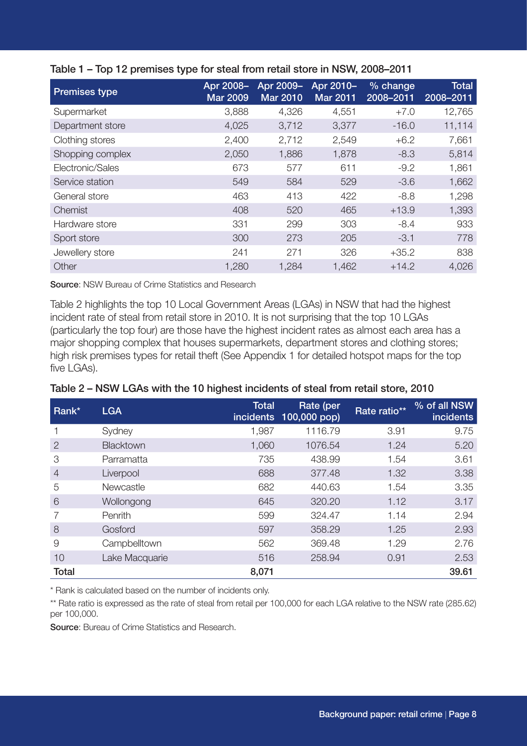| <b>Premises type</b> | Apr 2008-<br><b>Mar 2009</b> | Apr 2009-<br><b>Mar 2010</b> | Apr 2010-<br><b>Mar 2011</b> | % change<br>2008-2011 | <b>Total</b><br>2008-2011 |
|----------------------|------------------------------|------------------------------|------------------------------|-----------------------|---------------------------|
| Supermarket          | 3,888                        | 4,326                        | 4,551                        | $+7.0$                | 12,765                    |
| Department store     | 4,025                        | 3,712                        | 3,377                        | $-16.0$               | 11,114                    |
| Clothing stores      | 2,400                        | 2,712                        | 2,549                        | $+6.2$                | 7,661                     |
| Shopping complex     | 2,050                        | 1,886                        | 1,878                        | $-8.3$                | 5,814                     |
| Electronic/Sales     | 673                          | 577                          | 611                          | $-9.2$                | 1,861                     |
| Service station      | 549                          | 584                          | 529                          | $-3.6$                | 1,662                     |
| General store        | 463                          | 413                          | 422                          | $-8.8$                | 1,298                     |
| Chemist              | 408                          | 520                          | 465                          | $+13.9$               | 1,393                     |
| Hardware store       | 331                          | 299                          | 303                          | $-8.4$                | 933                       |
| Sport store          | 300                          | 273                          | 205                          | $-3.1$                | 778                       |
| Jewellery store      | 241                          | 271                          | 326                          | $+35.2$               | 838                       |
| Other                | 1,280                        | 1,284                        | 1,462                        | $+14.2$               | 4,026                     |

#### Table 1 – Top 12 premises type for steal from retail store in NSW, 2008–2011

Source: NSW Bureau of Crime Statistics and Research

Table 2 highlights the top 10 Local Government Areas (LGAs) in NSW that had the highest incident rate of steal from retail store in 2010. It is not surprising that the top 10 LGAs (particularly the top four) are those have the highest incident rates as almost each area has a major shopping complex that houses supermarkets, department stores and clothing stores; high risk premises types for retail theft (See Appendix 1 for detailed hotspot maps for the top five LGAs).

| Table 2 – NSW LGAs with the 10 highest incidents of steal from retail store, 2010 |  |
|-----------------------------------------------------------------------------------|--|
|                                                                                   |  |

| Rank*          | <b>LGA</b>     | <b>Total</b> | Rate (per<br>incidents 100,000 pop) | Rate ratio** | % of all NSW<br><i>incidents</i> |
|----------------|----------------|--------------|-------------------------------------|--------------|----------------------------------|
|                | Sydney         | 1,987        | 1116.79                             | 3.91         | 9.75                             |
| $\overline{2}$ | Blacktown      | 1,060        | 1076.54                             | 1.24         | 5.20                             |
| 3              | Parramatta     | 735          | 438.99                              | 1.54         | 3.61                             |
| $\overline{4}$ | Liverpool      | 688          | 377.48                              | 1.32         | 3.38                             |
| 5              | Newcastle      | 682          | 440.63                              | 1.54         | 3.35                             |
| 6              | Wollongong     | 645          | 320.20                              | 1.12         | 3.17                             |
|                | Penrith        | 599          | 324.47                              | 1.14         | 2.94                             |
| 8              | Gosford        | 597          | 358.29                              | 1.25         | 2.93                             |
| 9              | Campbelltown   | 562          | 369.48                              | 1.29         | 2.76                             |
| 10             | Lake Macquarie | 516          | 258.94                              | 0.91         | 2.53                             |
| <b>Total</b>   |                | 8,071        |                                     |              | 39.61                            |

\* Rank is calculated based on the number of incidents only.

\*\* Rate ratio is expressed as the rate of steal from retail per 100,000 for each LGA relative to the NSW rate (285.62) per 100,000.

Source: Bureau of Crime Statistics and Research.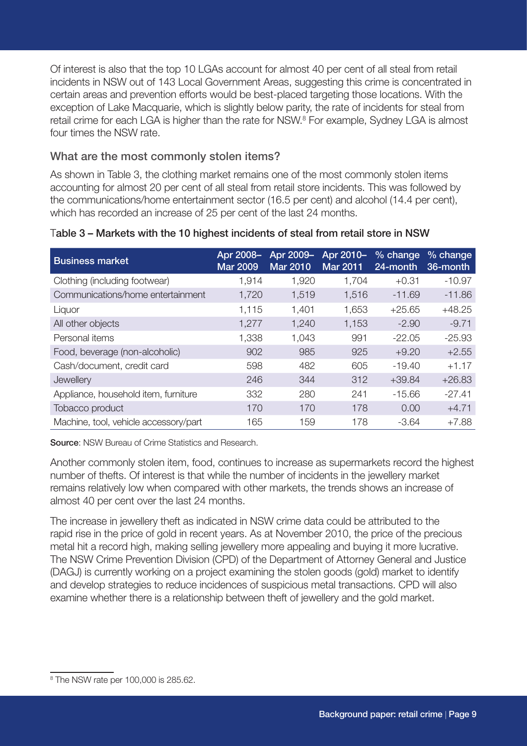Of interest is also that the top 10 LGAs account for almost 40 per cent of all steal from retail incidents in NSW out of 143 Local Government Areas, suggesting this crime is concentrated in certain areas and prevention efforts would be best-placed targeting those locations. With the exception of Lake Macquarie, which is slightly below parity, the rate of incidents for steal from retail crime for each LGA is higher than the rate for NSW.<sup>8</sup> For example, Sydney LGA is almost four times the NSW rate.

#### What are the most commonly stolen items?

As shown in Table 3, the clothing market remains one of the most commonly stolen items accounting for almost 20 per cent of all steal from retail store incidents. This was followed by the communications/home entertainment sector (16.5 per cent) and alcohol (14.4 per cent), which has recorded an increase of 25 per cent of the last 24 months.

| <b>Business market</b>                | Apr 2008-<br><b>Mar 2009</b> | Apr 2009-<br><b>Mar 2010</b> | Apr 2010-<br><b>Mar 2011</b> | $%$ change<br>24-month | $%$ change<br>36-month |
|---------------------------------------|------------------------------|------------------------------|------------------------------|------------------------|------------------------|
| Clothing (including footwear)         | 1,914                        | 1,920                        | 1,704                        | $+0.31$                | $-10.97$               |
| Communications/home entertainment     | 1,720                        | 1,519                        | 1,516                        | $-11.69$               | $-11.86$               |
| Liquor                                | 1,115                        | 1,401                        | 1,653                        | $+25.65$               | $+48.25$               |
| All other objects                     | 1,277                        | 1,240                        | 1,153                        | $-2.90$                | $-9.71$                |
| Personal items                        | 1,338                        | 1,043                        | 991                          | $-22.05$               | $-25.93$               |
| Food, beverage (non-alcoholic)        | 902                          | 985                          | 925                          | $+9.20$                | $+2.55$                |
| Cash/document, credit card            | 598                          | 482                          | 605                          | $-19.40$               | $+1.17$                |
| Jewellery                             | 246                          | 344                          | 312                          | $+39.84$               | $+26.83$               |
| Appliance, household item, furniture  | 332                          | 280                          | 241                          | $-15.66$               | $-27.41$               |
| Tobacco product                       | 170                          | 170                          | 178                          | 0.00                   | $+4.71$                |
| Machine, tool, vehicle accessory/part | 165                          | 159                          | 178                          | $-3.64$                | $+7.88$                |

#### Table 3 – Markets with the 10 highest incidents of steal from retail store in NSW

Source: NSW Bureau of Crime Statistics and Research.

Another commonly stolen item, food, continues to increase as supermarkets record the highest number of thefts. Of interest is that while the number of incidents in the jewellery market remains relatively low when compared with other markets, the trends shows an increase of almost 40 per cent over the last 24 months.

The increase in jewellery theft as indicated in NSW crime data could be attributed to the rapid rise in the price of gold in recent years. As at November 2010, the price of the precious metal hit a record high, making selling jewellery more appealing and buying it more lucrative. The NSW Crime Prevention Division (CPD) of the Department of Attorney General and Justice (DAGJ) is currently working on a project examining the stolen goods (gold) market to identify and develop strategies to reduce incidences of suspicious metal transactions. CPD will also examine whether there is a relationship between theft of jewellery and the gold market.

<sup>8</sup> The NSW rate per 100,000 is 285.62.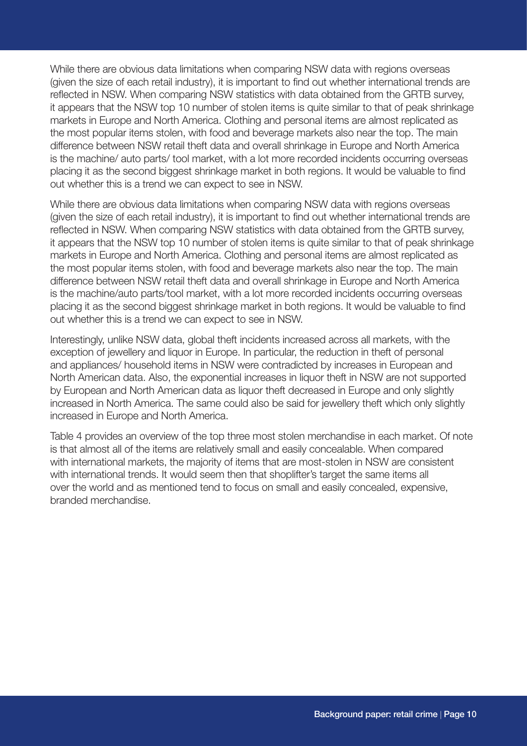While there are obvious data limitations when comparing NSW data with regions overseas (given the size of each retail industry), it is important to find out whether international trends are reflected in NSW. When comparing NSW statistics with data obtained from the GRTB survey, it appears that the NSW top 10 number of stolen items is quite similar to that of peak shrinkage markets in Europe and North America. Clothing and personal items are almost replicated as the most popular items stolen, with food and beverage markets also near the top. The main difference between NSW retail theft data and overall shrinkage in Europe and North America is the machine/ auto parts/ tool market, with a lot more recorded incidents occurring overseas placing it as the second biggest shrinkage market in both regions. It would be valuable to find out whether this is a trend we can expect to see in NSW.

While there are obvious data limitations when comparing NSW data with regions overseas (given the size of each retail industry), it is important to find out whether international trends are reflected in NSW. When comparing NSW statistics with data obtained from the GRTB survey, it appears that the NSW top 10 number of stolen items is quite similar to that of peak shrinkage markets in Europe and North America. Clothing and personal items are almost replicated as the most popular items stolen, with food and beverage markets also near the top. The main difference between NSW retail theft data and overall shrinkage in Europe and North America is the machine/auto parts/tool market, with a lot more recorded incidents occurring overseas placing it as the second biggest shrinkage market in both regions. It would be valuable to find out whether this is a trend we can expect to see in NSW.

Interestingly, unlike NSW data, global theft incidents increased across all markets, with the exception of jewellery and liquor in Europe. In particular, the reduction in theft of personal and appliances/ household items in NSW were contradicted by increases in European and North American data. Also, the exponential increases in liquor theft in NSW are not supported by European and North American data as liquor theft decreased in Europe and only slightly increased in North America. The same could also be said for jewellery theft which only slightly increased in Europe and North America.

Table 4 provides an overview of the top three most stolen merchandise in each market. Of note is that almost all of the items are relatively small and easily concealable. When compared with international markets, the majority of items that are most-stolen in NSW are consistent with international trends. It would seem then that shoplifter's target the same items all over the world and as mentioned tend to focus on small and easily concealed, expensive, branded merchandise.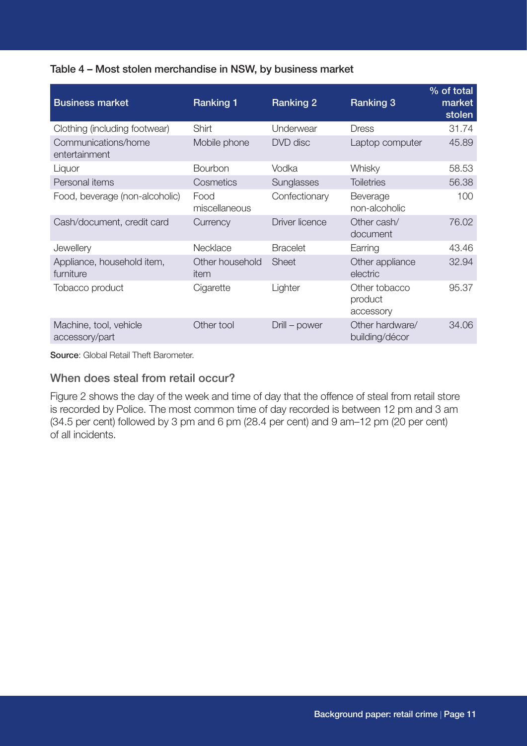#### Table 4 – Most stolen merchandise in NSW, by business market

| <b>Business market</b>                   | <b>Ranking 1</b>        | <b>Ranking 2</b>      | <b>Ranking 3</b>                      | % of total<br>market<br>stolen |
|------------------------------------------|-------------------------|-----------------------|---------------------------------------|--------------------------------|
| Clothing (including footwear)            | Shirt                   | Underwear             | <b>Dress</b>                          | 31.74                          |
| Communications/home<br>entertainment     | Mobile phone            | DVD disc              | Laptop computer                       | 45.89                          |
| Liquor                                   | <b>Bourbon</b>          | Vodka                 | Whisky                                | 58.53                          |
| Personal items                           | Cosmetics               | Sunglasses            | <b>Toiletries</b>                     | 56.38                          |
| Food, beverage (non-alcoholic)           | Food<br>miscellaneous   | Confectionary         | Beverage<br>non-alcoholic             | 100                            |
| Cash/document, credit card               | Currency                | <b>Driver licence</b> | Other cash/<br>document               | 76.02                          |
| Jewellery                                | Necklace                | <b>Bracelet</b>       | Earring                               | 43.46                          |
| Appliance, household item,<br>furniture  | Other household<br>item | <b>Sheet</b>          | Other appliance<br>electric           | 32.94                          |
| Tobacco product                          | Cigarette               | Lighter               | Other tobacco<br>product<br>accessory | 95.37                          |
| Machine, tool, vehicle<br>accessory/part | Other tool              | Drill – power         | Other hardware/<br>building/décor     | 34.06                          |

Source: Global Retail Theft Barometer.

#### When does steal from retail occur?

Figure 2 shows the day of the week and time of day that the offence of steal from retail store is recorded by Police. The most common time of day recorded is between 12 pm and 3 am (34.5 per cent) followed by 3 pm and 6 pm (28.4 per cent) and 9 am–12 pm (20 per cent) of all incidents.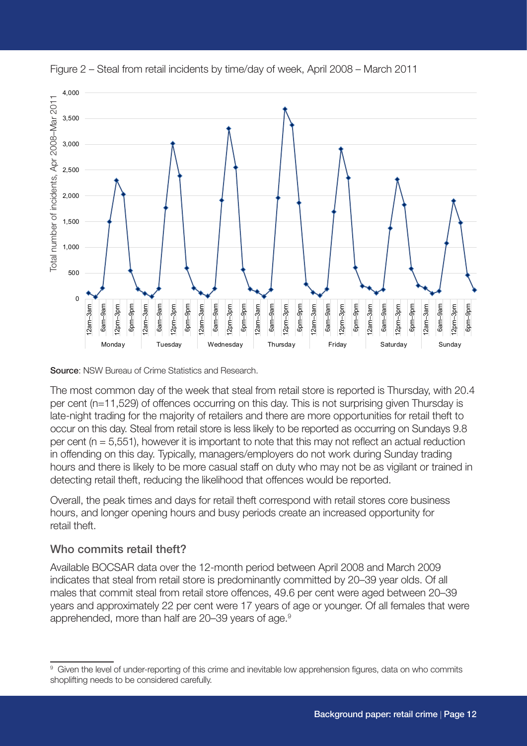



Source: NSW Bureau of Crime Statistics and Research.

The most common day of the week that steal from retail store is reported is Thursday, with 20.4 per cent (n=11,529) of offences occurring on this day. This is not surprising given Thursday is late-night trading for the majority of retailers and there are more opportunities for retail theft to occur on this day. Steal from retail store is less likely to be reported as occurring on Sundays 9.8 per cent (n = 5,551), however it is important to note that this may not reflect an actual reduction in offending on this day. Typically, managers/employers do not work during Sunday trading hours and there is likely to be more casual staff on duty who may not be as vigilant or trained in detecting retail theft, reducing the likelihood that offences would be reported.

Overall, the peak times and days for retail theft correspond with retail stores core business hours, and longer opening hours and busy periods create an increased opportunity for retail theft.

#### Who commits retail theft?

Available BOCSAR data over the 12-month period between April 2008 and March 2009 indicates that steal from retail store is predominantly committed by 20–39 year olds. Of all males that commit steal from retail store offences, 49.6 per cent were aged between 20–39 years and approximately 22 per cent were 17 years of age or younger. Of all females that were apprehended, more than half are 20–39 years of age.<sup>9</sup>

<sup>9</sup> Given the level of under-reporting of this crime and inevitable low apprehension figures, data on who commits shoplifting needs to be considered carefully.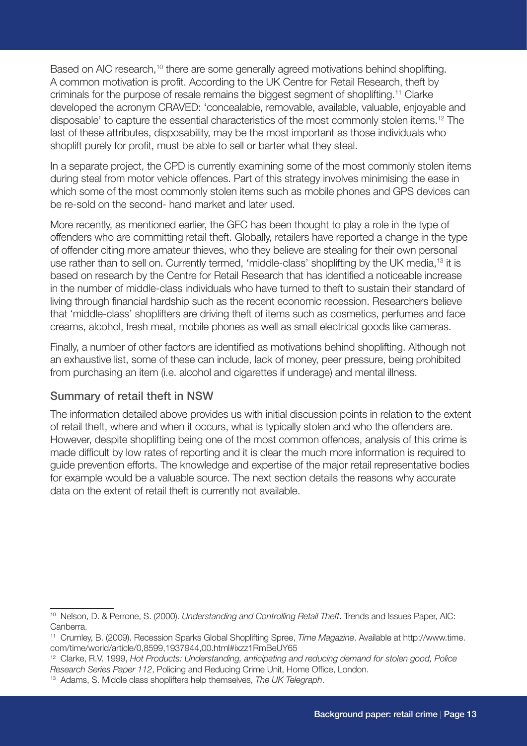Based on AIC research,<sup>10</sup> there are some generally agreed motivations behind shoplifting. A common motivation is profit. According to the UK Centre for Retail Research, theft by criminals for the purpose of resale remains the biggest segment of shoplifting.11 Clarke developed the acronym CRAVED: 'concealable, removable, available, valuable, enjoyable and disposable' to capture the essential characteristics of the most commonly stolen items.12 The last of these attributes, disposability, may be the most important as those individuals who shoplift purely for profit, must be able to sell or barter what they steal.

In a separate project, the CPD is currently examining some of the most commonly stolen items during steal from motor vehicle offences. Part of this strategy involves minimising the ease in which some of the most commonly stolen items such as mobile phones and GPS devices can be re-sold on the second- hand market and later used.

More recently, as mentioned earlier, the GFC has been thought to play a role in the type of offenders who are committing retail theft. Globally, retailers have reported a change in the type of offender citing more amateur thieves, who they believe are stealing for their own personal use rather than to sell on. Currently termed, 'middle-class' shoplifting by the UK media,13 it is based on research by the Centre for Retail Research that has identified a noticeable increase in the number of middle-class individuals who have turned to theft to sustain their standard of living through financial hardship such as the recent economic recession. Researchers believe that 'middle-class' shoplifters are driving theft of items such as cosmetics, perfumes and face creams, alcohol, fresh meat, mobile phones as well as small electrical goods like cameras.

Finally, a number of other factors are identified as motivations behind shoplifting. Although not an exhaustive list, some of these can include, lack of money, peer pressure, being prohibited from purchasing an item (i.e. alcohol and cigarettes if underage) and mental illness.

#### Summary of retail theft in NSW

The information detailed above provides us with initial discussion points in relation to the extent of retail theft, where and when it occurs, what is typically stolen and who the offenders are. However, despite shoplifting being one of the most common offences, analysis of this crime is made difficult by low rates of reporting and it is clear the much more information is required to guide prevention efforts. The knowledge and expertise of the major retail representative bodies for example would be a valuable source. The next section details the reasons why accurate data on the extent of retail theft is currently not available.

<sup>10</sup> Nelson, D. & Perrone, S. (2000). *Understanding and Controlling Retail Theft*. Trends and Issues Paper, AIC: Canberra.

<sup>11</sup> Crumley, B. (2009). Recession Sparks Global Shoplifting Spree, *Time Magazine*. Available at http://www.time. com/time/world/article/0,8599,1937944,00.html#ixzz1RmBeUY65

<sup>12</sup> Clarke, R.V. 1999, *Hot Products: Understanding, anticipating and reducing demand for stolen good, Police* 

*Research Series Paper 112*, Policing and Reducing Crime Unit, Home Office, London.

<sup>13</sup> Adams, S. Middle class shoplifters help themselves, *The UK Telegraph*.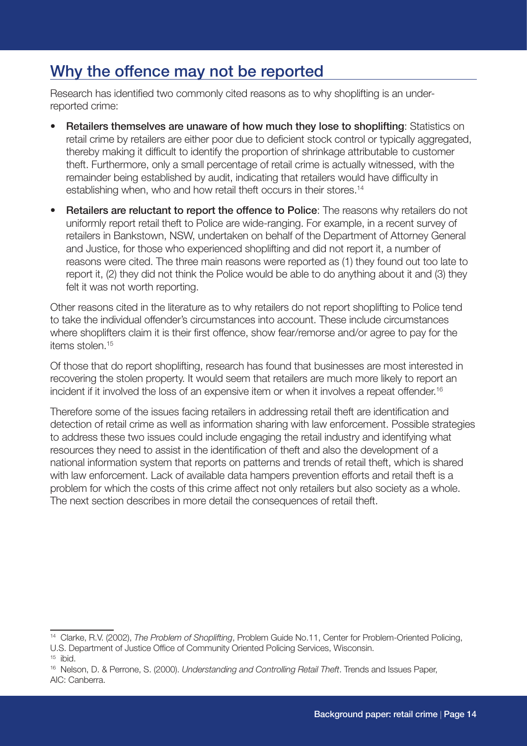# Why the offence may not be reported

Research has identified two commonly cited reasons as to why shoplifting is an underreported crime:

- Retailers themselves are unaware of how much they lose to shoplifting: Statistics on retail crime by retailers are either poor due to deficient stock control or typically aggregated, thereby making it difficult to identify the proportion of shrinkage attributable to customer theft. Furthermore, only a small percentage of retail crime is actually witnessed, with the remainder being established by audit, indicating that retailers would have difficulty in establishing when, who and how retail theft occurs in their stores.<sup>14</sup>
- **Retailers are reluctant to report the offence to Police:** The reasons why retailers do not uniformly report retail theft to Police are wide-ranging. For example, in a recent survey of retailers in Bankstown, NSW, undertaken on behalf of the Department of Attorney General and Justice, for those who experienced shoplifting and did not report it, a number of reasons were cited. The three main reasons were reported as (1) they found out too late to report it, (2) they did not think the Police would be able to do anything about it and (3) they felt it was not worth reporting.

Other reasons cited in the literature as to why retailers do not report shoplifting to Police tend to take the individual offender's circumstances into account. These include circumstances where shoplifters claim it is their first offence, show fear/remorse and/or agree to pay for the items stolen.15

Of those that do report shoplifting, research has found that businesses are most interested in recovering the stolen property. It would seem that retailers are much more likely to report an incident if it involved the loss of an expensive item or when it involves a repeat offender.<sup>16</sup>

Therefore some of the issues facing retailers in addressing retail theft are identification and detection of retail crime as well as information sharing with law enforcement. Possible strategies to address these two issues could include engaging the retail industry and identifying what resources they need to assist in the identification of theft and also the development of a national information system that reports on patterns and trends of retail theft, which is shared with law enforcement. Lack of available data hampers prevention efforts and retail theft is a problem for which the costs of this crime affect not only retailers but also society as a whole. The next section describes in more detail the consequences of retail theft.

<sup>14</sup> Clarke, R.V. (2002), *The Problem of Shoplifting*, Problem Guide No.11, Center for Problem-Oriented Policing, U.S. Department of Justice Office of Community Oriented Policing Services, Wisconsin.

 $15$  ibid.

<sup>16</sup> Nelson, D. & Perrone, S. (2000). *Understanding and Controlling Retail Theft*. Trends and Issues Paper, AIC: Canberra.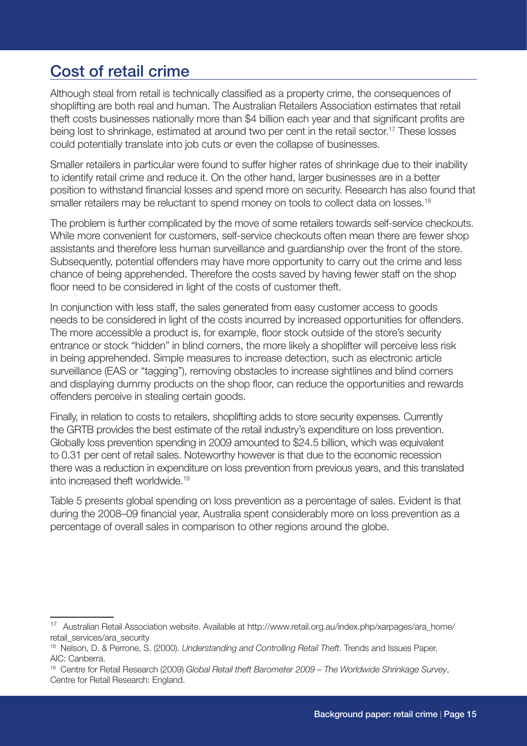### Cost of retail crime

Although steal from retail is technically classified as a property crime, the consequences of shoplifting are both real and human. The Australian Retailers Association estimates that retail theft costs businesses nationally more than \$4 billion each year and that significant profits are being lost to shrinkage, estimated at around two per cent in the retail sector.17 These losses could potentially translate into job cuts or even the collapse of businesses.

Smaller retailers in particular were found to suffer higher rates of shrinkage due to their inability to identify retail crime and reduce it. On the other hand, larger businesses are in a better position to withstand financial losses and spend more on security. Research has also found that smaller retailers may be reluctant to spend money on tools to collect data on losses.<sup>18</sup>

The problem is further complicated by the move of some retailers towards self-service checkouts. While more convenient for customers, self-service checkouts often mean there are fewer shop assistants and therefore less human surveillance and guardianship over the front of the store. Subsequently, potential offenders may have more opportunity to carry out the crime and less chance of being apprehended. Therefore the costs saved by having fewer staff on the shop floor need to be considered in light of the costs of customer theft.

In conjunction with less staff, the sales generated from easy customer access to goods needs to be considered in light of the costs incurred by increased opportunities for offenders. The more accessible a product is, for example, floor stock outside of the store's security entrance or stock "hidden" in blind corners, the more likely a shoplifter will perceive less risk in being apprehended. Simple measures to increase detection, such as electronic article surveillance (EAS or "tagging"), removing obstacles to increase sightlines and blind corners and displaying dummy products on the shop floor, can reduce the opportunities and rewards offenders perceive in stealing certain goods.

Finally, in relation to costs to retailers, shoplifting adds to store security expenses. Currently the GRTB provides the best estimate of the retail industry's expenditure on loss prevention. Globally loss prevention spending in 2009 amounted to \$24.5 billion, which was equivalent to 0.31 per cent of retail sales. Noteworthy however is that due to the economic recession there was a reduction in expenditure on loss prevention from previous years, and this translated into increased theft worldwide.19

Table 5 presents global spending on loss prevention as a percentage of sales. Evident is that during the 2008–09 financial year, Australia spent considerably more on loss prevention as a percentage of overall sales in comparison to other regions around the globe.

<sup>17</sup> Australian Retail Association website. Available at http://www.retail.org.au/index.php/xarpages/ara\_home/ retail\_services/ara\_security

<sup>18</sup> Nelson, D. & Perrone, S. (2000). *Understanding and Controlling Retail Theft*. Trends and Issues Paper, AIC: Canberra.

<sup>19</sup> Centre for Retail Research (2009) *Global Retail theft Barometer 2009 – The Worldwide Shrinkage Survey*, Centre for Retail Research: England.